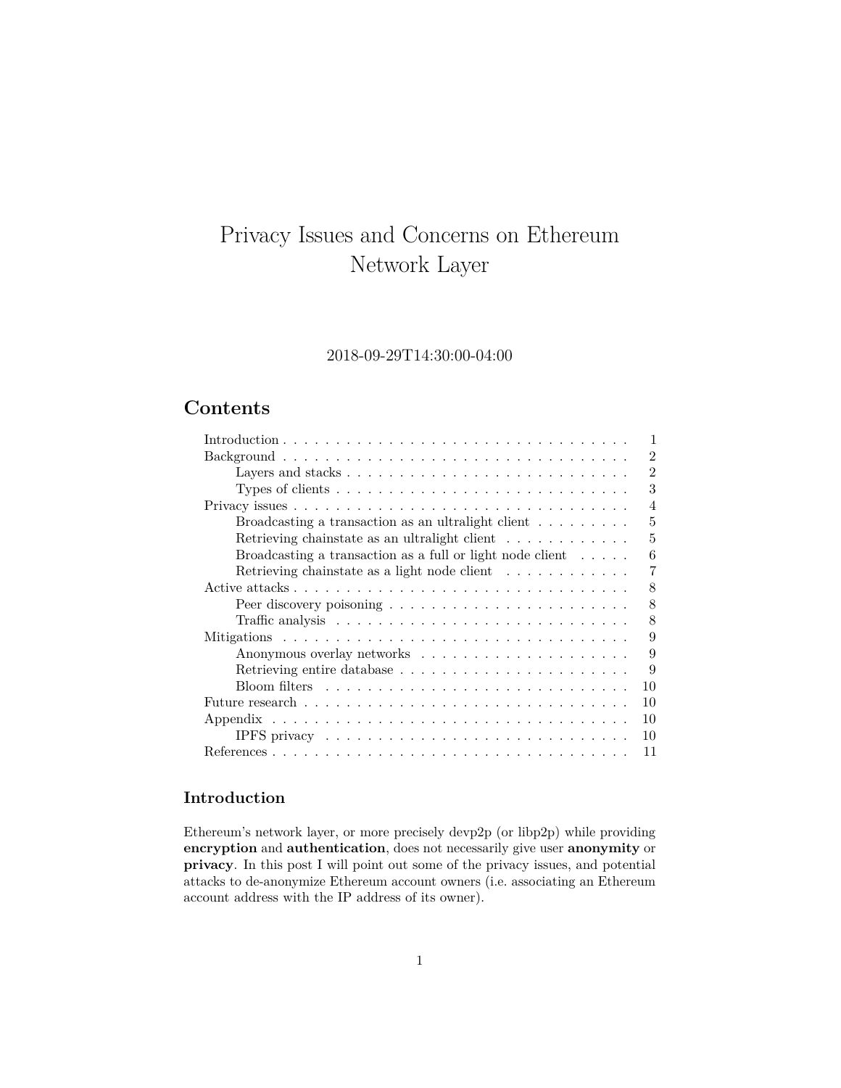# Privacy Issues and Concerns on Ethereum Network Layer

# 2018-09-29T14:30:00-04:00

# **Contents**

| 1                                                                                                       |
|---------------------------------------------------------------------------------------------------------|
| $\overline{2}$                                                                                          |
| $\mathfrak{D}$<br>Layers and stacks $\dots \dots \dots \dots \dots \dots \dots \dots \dots \dots \dots$ |
| 3                                                                                                       |
| $\overline{4}$                                                                                          |
| Broadcasting a transaction as an ultralight client $\dots \dots$<br>5                                   |
| Retrieving chainstate as an ultralight client $\dots \dots \dots \dots$<br>5                            |
| Broadcasting a transaction as a full or light node client $\ldots$ .<br>6                               |
| Retrieving chainstate as a light node client $\dots \dots \dots$<br>7                                   |
| 8                                                                                                       |
| 8                                                                                                       |
| 8                                                                                                       |
| 9                                                                                                       |
| 9                                                                                                       |
| 9                                                                                                       |
| 10                                                                                                      |
| 10                                                                                                      |
| 10                                                                                                      |
| 10                                                                                                      |
| 11                                                                                                      |

# <span id="page-0-0"></span>**Introduction**

Ethereum's network layer, or more precisely devp2p (or libp2p) while providing **encryption** and **authentication**, does not necessarily give user **anonymity** or **privacy**. In this post I will point out some of the privacy issues, and potential attacks to de-anonymize Ethereum account owners (i.e. associating an Ethereum account address with the IP address of its owner).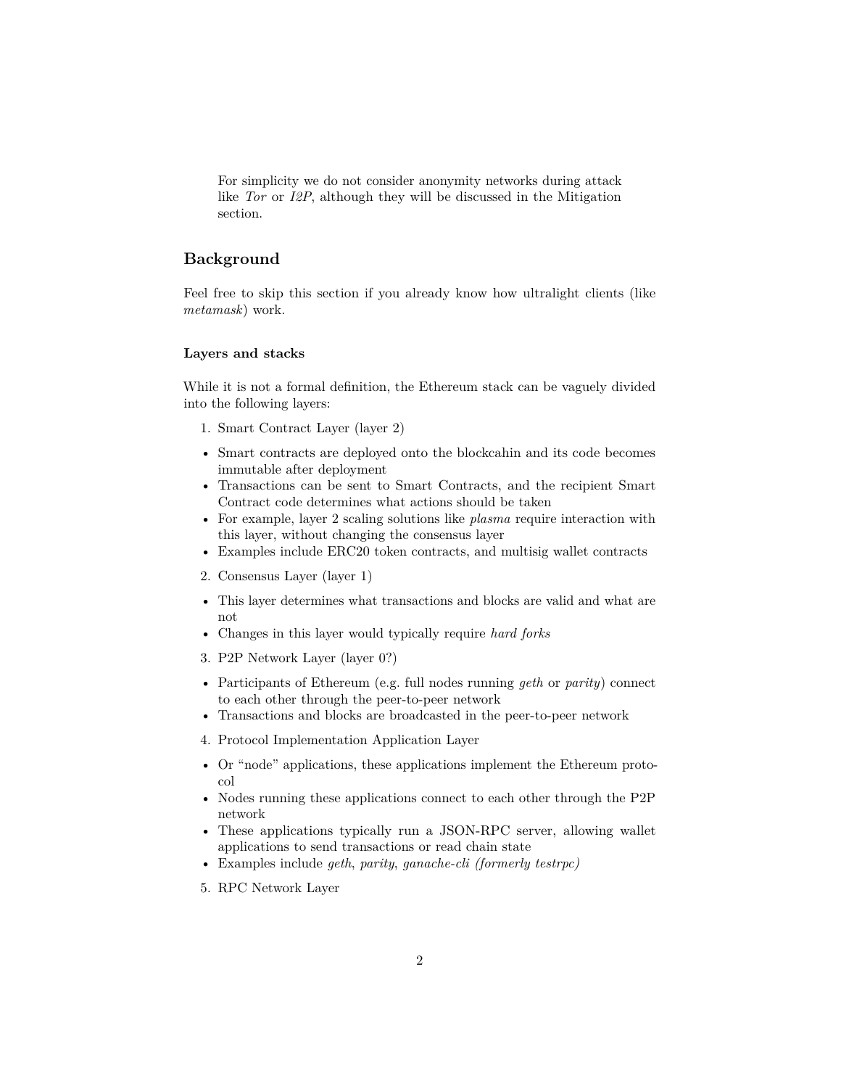For simplicity we do not consider anonymity networks during attack like *Tor* or *I2P*, although they will be discussed in the Mitigation section.

## <span id="page-1-0"></span>**Background**

Feel free to skip this section if you already know how ultralight clients (like *metamask*) work.

#### <span id="page-1-1"></span>**Layers and stacks**

While it is not a formal definition, the Ethereum stack can be vaguely divided into the following layers:

- 1. Smart Contract Layer (layer 2)
- Smart contracts are deployed onto the blockcahin and its code becomes immutable after deployment
- Transactions can be sent to Smart Contracts, and the recipient Smart Contract code determines what actions should be taken
- For example, layer 2 scaling solutions like *plasma* require interaction with this layer, without changing the consensus layer
- Examples include ERC20 token contracts, and multisig wallet contracts
- 2. Consensus Layer (layer 1)
- This layer determines what transactions and blocks are valid and what are not
- Changes in this layer would typically require *hard forks*
- 3. P2P Network Layer (layer 0?)
- Participants of Ethereum (e.g. full nodes running *geth* or *parity*) connect to each other through the peer-to-peer network
- Transactions and blocks are broadcasted in the peer-to-peer network
- 4. Protocol Implementation Application Layer
- Or "node" applications, these applications implement the Ethereum protocol
- Nodes running these applications connect to each other through the P2P network
- These applications typically run a JSON-RPC server, allowing wallet applications to send transactions or read chain state
- Examples include *geth*, *parity*, *ganache-cli (formerly testrpc)*
- 5. RPC Network Layer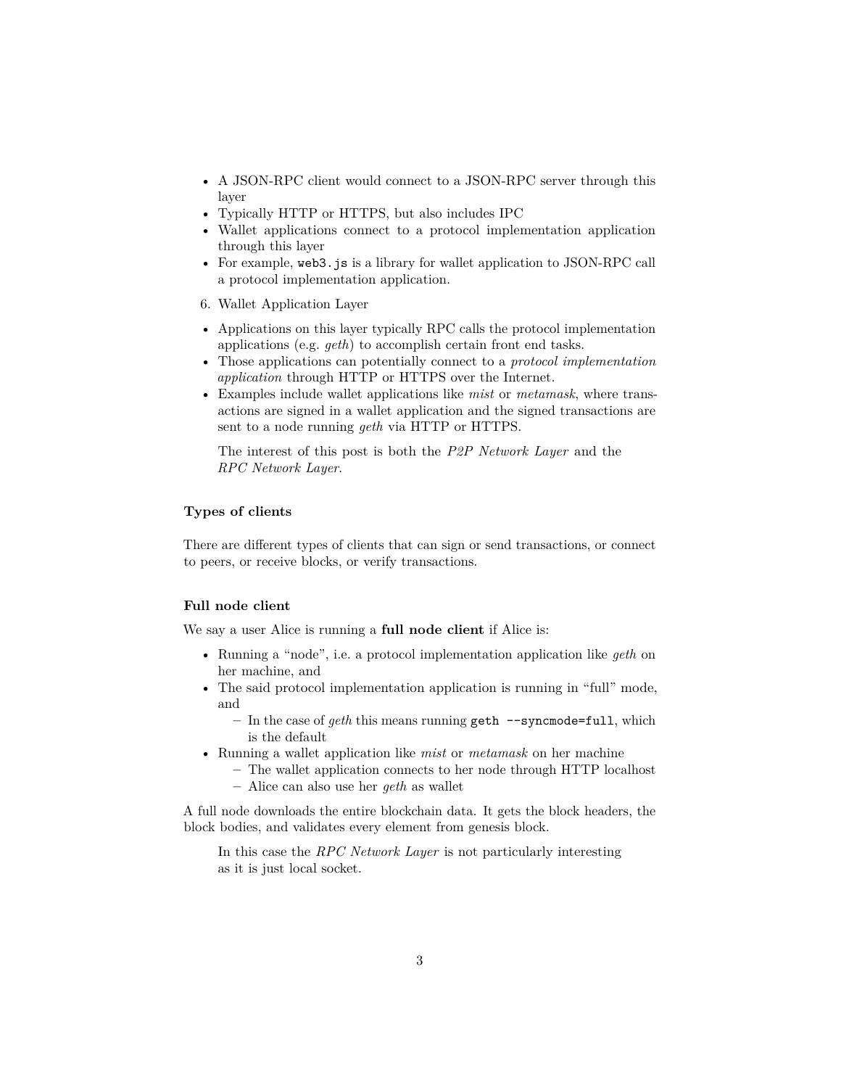- A JSON-RPC client would connect to a JSON-RPC server through this layer
- Typically HTTP or HTTPS, but also includes IPC
- Wallet applications connect to a protocol implementation application through this layer
- For example, web3. js is a library for wallet application to JSON-RPC call a protocol implementation application.
- 6. Wallet Application Layer
- Applications on this layer typically RPC calls the protocol implementation applications (e.g. *geth*) to accomplish certain front end tasks.
- Those applications can potentially connect to a *protocol implementation application* through HTTP or HTTPS over the Internet.
- Examples include wallet applications like *mist* or *metamask*, where transactions are signed in a wallet application and the signed transactions are sent to a node running *geth* via HTTP or HTTPS.

The interest of this post is both the *P2P Network Layer* and the *RPC Network Layer*.

#### <span id="page-2-0"></span>**Types of clients**

There are different types of clients that can sign or send transactions, or connect to peers, or receive blocks, or verify transactions.

#### **Full node client**

We say a user Alice is running a **full node client** if Alice is:

- Running a "node", i.e. a protocol implementation application like *geth* on her machine, and
- The said protocol implementation application is running in "full" mode, and
	- **–** In the case of *geth* this means running geth --syncmode=full, which is the default
- Running a wallet application like *mist* or *metamask* on her machine
	- **–** The wallet application connects to her node through HTTP localhost
	- **–** Alice can also use her *geth* as wallet

A full node downloads the entire blockchain data. It gets the block headers, the block bodies, and validates every element from genesis block.

In this case the *RPC Network Layer* is not particularly interesting as it is just local socket.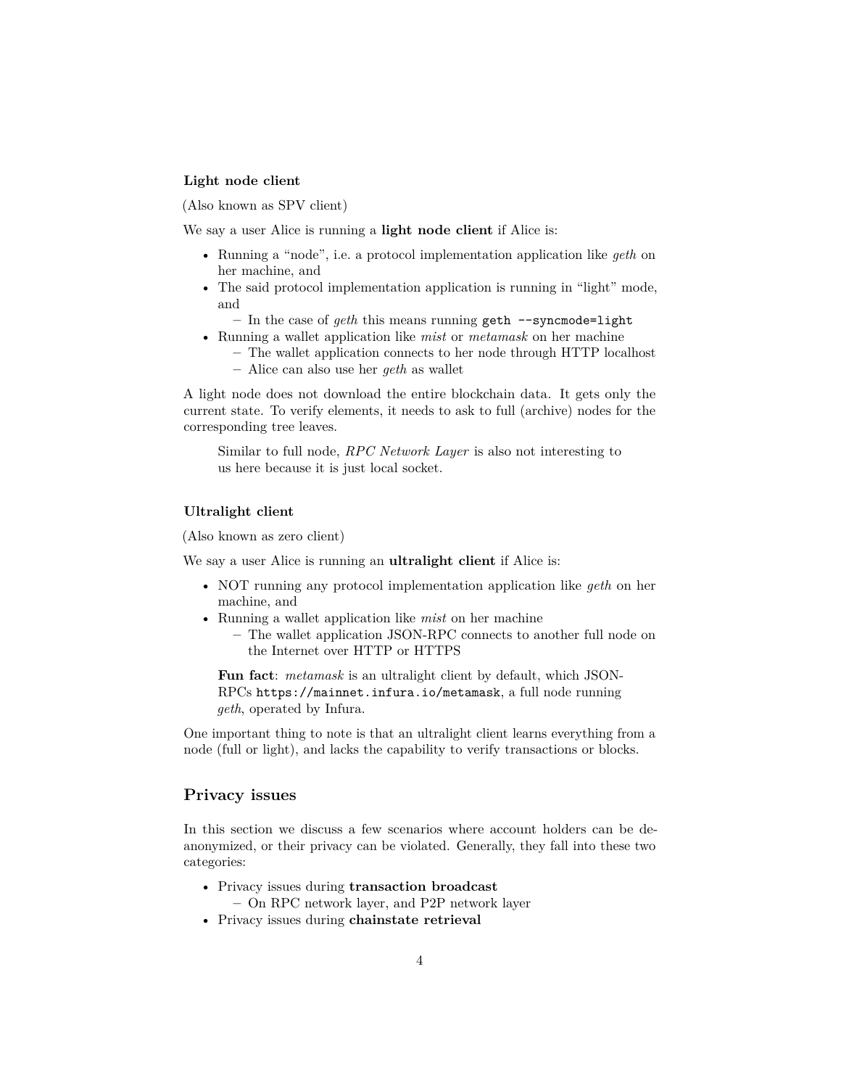## **Light node client**

(Also known as SPV client)

We say a user Alice is running a **light node client** if Alice is:

- Running a "node", i.e. a protocol implementation application like *geth* on her machine, and
- The said protocol implementation application is running in "light" mode, and
	- **–** In the case of *geth* this means running geth --syncmode=light
- Running a wallet application like *mist* or *metamask* on her machine
	- **–** The wallet application connects to her node through HTTP localhost **–** Alice can also use her *geth* as wallet
- A light node does not download the entire blockchain data. It gets only the current state. To verify elements, it needs to ask to full (archive) nodes for the corresponding tree leaves.

Similar to full node, *RPC Network Layer* is also not interesting to us here because it is just local socket.

#### **Ultralight client**

(Also known as zero client)

We say a user Alice is running an **ultralight client** if Alice is:

- NOT running any protocol implementation application like *geth* on her machine, and
- Running a wallet application like *mist* on her machine
	- **–** The wallet application JSON-RPC connects to another full node on the Internet over HTTP or HTTPS

**Fun fact**: *metamask* is an ultralight client by default, which JSON-RPCs https://mainnet.infura.io/metamask, a full node running *geth*, operated by Infura.

One important thing to note is that an ultralight client learns everything from a node (full or light), and lacks the capability to verify transactions or blocks.

## <span id="page-3-0"></span>**Privacy issues**

In this section we discuss a few scenarios where account holders can be deanonymized, or their privacy can be violated. Generally, they fall into these two categories:

- Privacy issues during **transaction broadcast –** On RPC network layer, and P2P network layer
- 
- Privacy issues during **chainstate retrieval**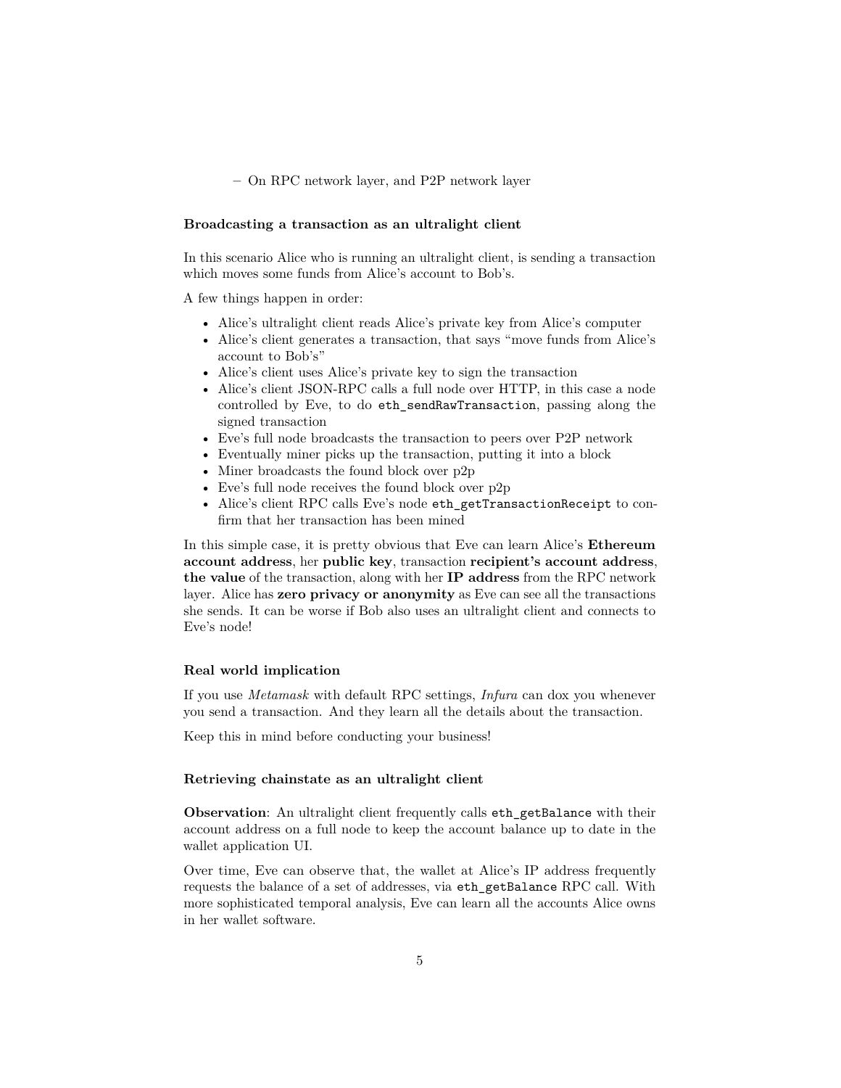**–** On RPC network layer, and P2P network layer

#### <span id="page-4-0"></span>**Broadcasting a transaction as an ultralight client**

In this scenario Alice who is running an ultralight client, is sending a transaction which moves some funds from Alice's account to Bob's.

A few things happen in order:

- Alice's ultralight client reads Alice's private key from Alice's computer
- Alice's client generates a transaction, that says "move funds from Alice's account to Bob's"
- Alice's client uses Alice's private key to sign the transaction
- Alice's client JSON-RPC calls a full node over HTTP, in this case a node controlled by Eve, to do eth\_sendRawTransaction, passing along the signed transaction
- Eve's full node broadcasts the transaction to peers over P2P network
- Eventually miner picks up the transaction, putting it into a block
- Miner broadcasts the found block over p2p
- Eve's full node receives the found block over p2p
- Alice's client RPC calls Eve's node eth getTransactionReceipt to confirm that her transaction has been mined

In this simple case, it is pretty obvious that Eve can learn Alice's **Ethereum account address**, her **public key**, transaction **recipient's account address**, **the value** of the transaction, along with her **IP address** from the RPC network layer. Alice has **zero privacy or anonymity** as Eve can see all the transactions she sends. It can be worse if Bob also uses an ultralight client and connects to Eve's node!

#### **Real world implication**

If you use *Metamask* with default RPC settings, *Infura* can dox you whenever you send a transaction. And they learn all the details about the transaction.

Keep this in mind before conducting your business!

#### <span id="page-4-1"></span>**Retrieving chainstate as an ultralight client**

**Observation**: An ultralight client frequently calls eth\_getBalance with their account address on a full node to keep the account balance up to date in the wallet application UI.

Over time, Eve can observe that, the wallet at Alice's IP address frequently requests the balance of a set of addresses, via eth\_getBalance RPC call. With more sophisticated temporal analysis, Eve can learn all the accounts Alice owns in her wallet software.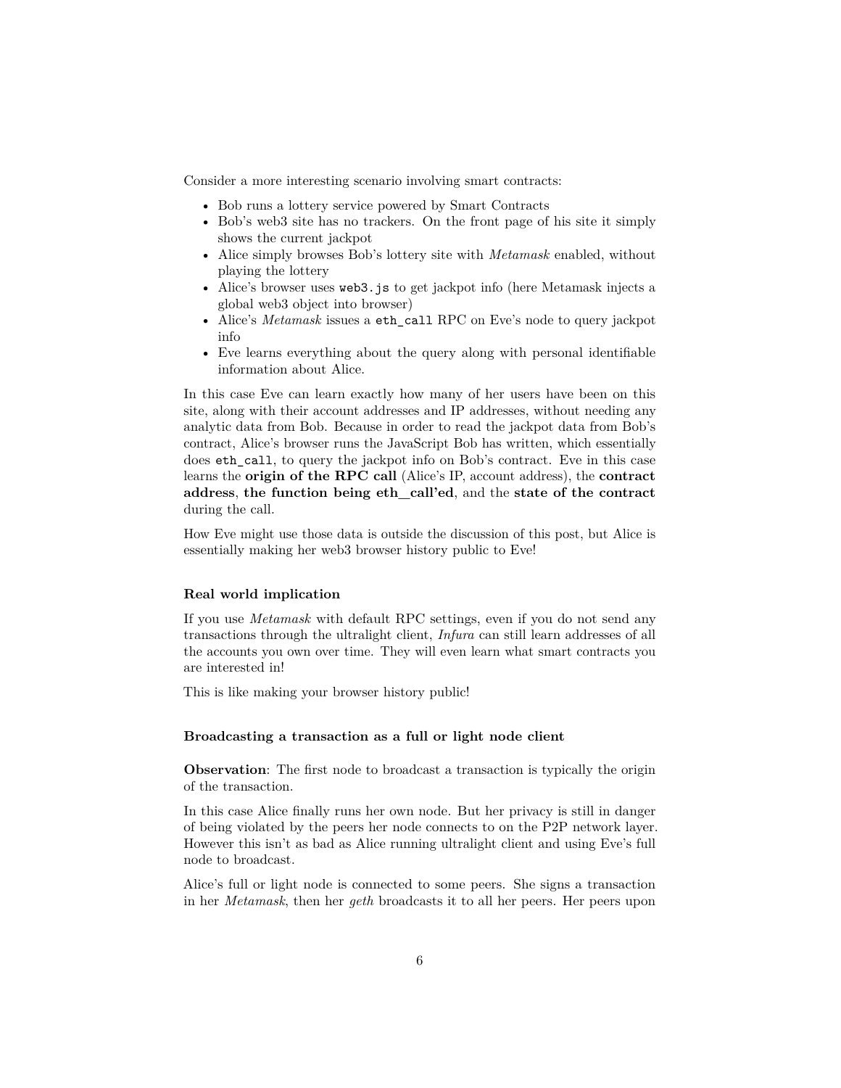Consider a more interesting scenario involving smart contracts:

- Bob runs a lottery service powered by Smart Contracts
- Bob's web3 site has no trackers. On the front page of his site it simply shows the current jackpot
- Alice simply browses Bob's lottery site with *Metamask* enabled, without playing the lottery
- Alice's browser uses web3.js to get jackpot info (here Metamask injects a global web3 object into browser)
- Alice's *Metamask* issues a eth\_call RPC on Eve's node to query jackpot info
- Eve learns everything about the query along with personal identifiable information about Alice.

In this case Eve can learn exactly how many of her users have been on this site, along with their account addresses and IP addresses, without needing any analytic data from Bob. Because in order to read the jackpot data from Bob's contract, Alice's browser runs the JavaScript Bob has written, which essentially does eth\_call, to query the jackpot info on Bob's contract. Eve in this case learns the **origin of the RPC call** (Alice's IP, account address), the **contract address**, **the function being eth\_call'ed**, and the **state of the contract** during the call.

How Eve might use those data is outside the discussion of this post, but Alice is essentially making her web3 browser history public to Eve!

#### **Real world implication**

If you use *Metamask* with default RPC settings, even if you do not send any transactions through the ultralight client, *Infura* can still learn addresses of all the accounts you own over time. They will even learn what smart contracts you are interested in!

This is like making your browser history public!

#### <span id="page-5-0"></span>**Broadcasting a transaction as a full or light node client**

**Observation:** The first node to broadcast a transaction is typically the origin of the transaction.

In this case Alice finally runs her own node. But her privacy is still in danger of being violated by the peers her node connects to on the P2P network layer. However this isn't as bad as Alice running ultralight client and using Eve's full node to broadcast.

Alice's full or light node is connected to some peers. She signs a transaction in her *Metamask*, then her *geth* broadcasts it to all her peers. Her peers upon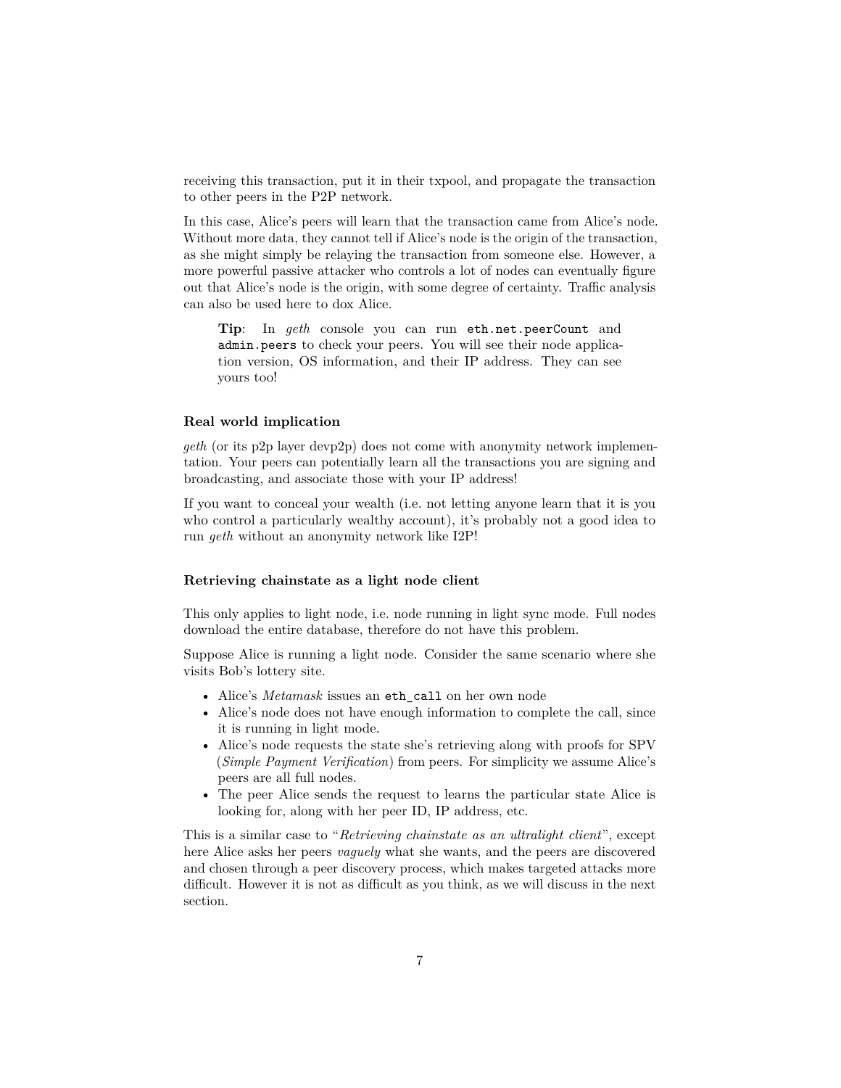receiving this transaction, put it in their txpool, and propagate the transaction to other peers in the P2P network.

In this case, Alice's peers will learn that the transaction came from Alice's node. Without more data, they cannot tell if Alice's node is the origin of the transaction, as she might simply be relaying the transaction from someone else. However, a more powerful passive attacker who controls a lot of nodes can eventually figure out that Alice's node is the origin, with some degree of certainty. Traffic analysis can also be used here to dox Alice.

**Tip**: In *geth* console you can run eth.net.peerCount and admin.peers to check your peers. You will see their node application version, OS information, and their IP address. They can see yours too!

#### **Real world implication**

*geth* (or its p2p layer devp2p) does not come with anonymity network implementation. Your peers can potentially learn all the transactions you are signing and broadcasting, and associate those with your IP address!

If you want to conceal your wealth (i.e. not letting anyone learn that it is you who control a particularly wealthy account), it's probably not a good idea to run *geth* without an anonymity network like I2P!

#### <span id="page-6-0"></span>**Retrieving chainstate as a light node client**

This only applies to light node, i.e. node running in light sync mode. Full nodes download the entire database, therefore do not have this problem.

Suppose Alice is running a light node. Consider the same scenario where she visits Bob's lottery site.

- Alice's *Metamask* issues an eth\_call on her own node
- Alice's node does not have enough information to complete the call, since it is running in light mode.
- Alice's node requests the state she's retrieving along with proofs for SPV (*Simple Payment Verification*) from peers. For simplicity we assume Alice's peers are all full nodes.
- The peer Alice sends the request to learns the particular state Alice is looking for, along with her peer ID, IP address, etc.

This is a similar case to "*Retrieving chainstate as an ultralight client*", except here Alice asks her peers *vaguely* what she wants, and the peers are discovered and chosen through a peer discovery process, which makes targeted attacks more difficult. However it is not as difficult as you think, as we will discuss in the next section.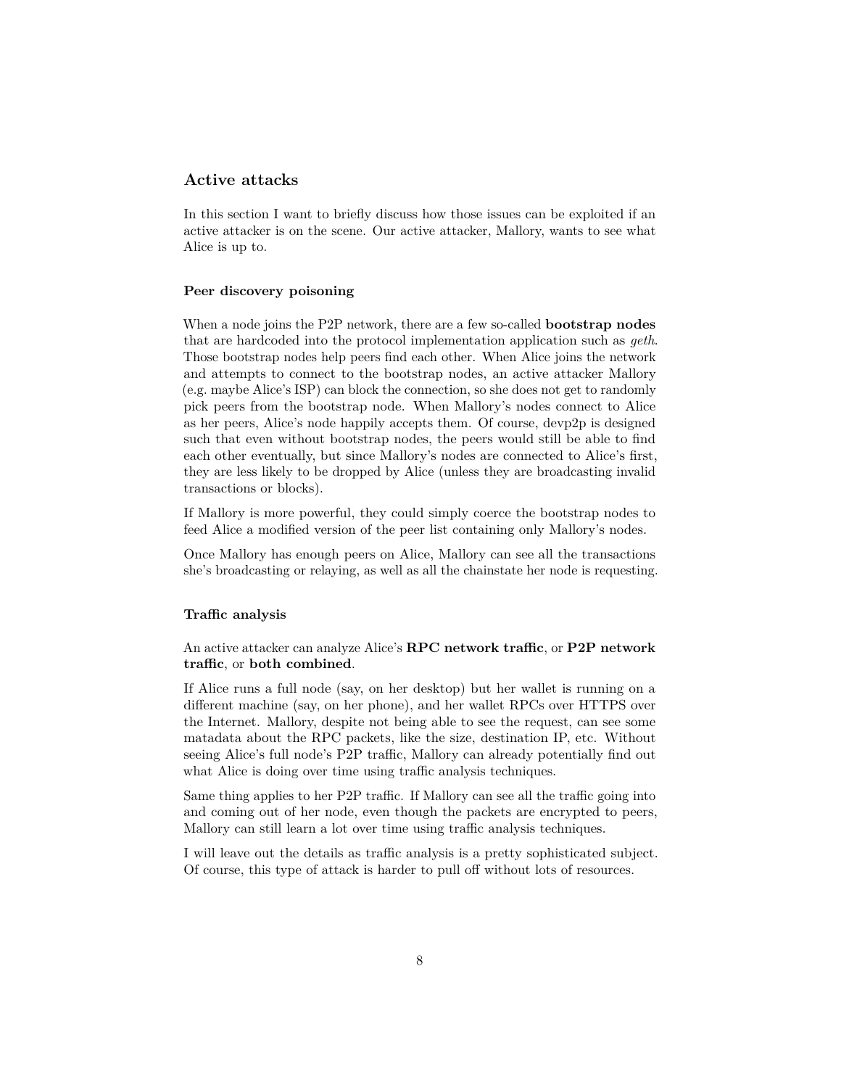# <span id="page-7-0"></span>**Active attacks**

In this section I want to briefly discuss how those issues can be exploited if an active attacker is on the scene. Our active attacker, Mallory, wants to see what Alice is up to.

#### <span id="page-7-1"></span>**Peer discovery poisoning**

When a node joins the P2P network, there are a few so-called **bootstrap nodes** that are hardcoded into the protocol implementation application such as *geth*. Those bootstrap nodes help peers find each other. When Alice joins the network and attempts to connect to the bootstrap nodes, an active attacker Mallory (e.g. maybe Alice's ISP) can block the connection, so she does not get to randomly pick peers from the bootstrap node. When Mallory's nodes connect to Alice as her peers, Alice's node happily accepts them. Of course, devp2p is designed such that even without bootstrap nodes, the peers would still be able to find each other eventually, but since Mallory's nodes are connected to Alice's first, they are less likely to be dropped by Alice (unless they are broadcasting invalid transactions or blocks).

If Mallory is more powerful, they could simply coerce the bootstrap nodes to feed Alice a modified version of the peer list containing only Mallory's nodes.

Once Mallory has enough peers on Alice, Mallory can see all the transactions she's broadcasting or relaying, as well as all the chainstate her node is requesting.

#### <span id="page-7-2"></span>**Traffic analysis**

An active attacker can analyze Alice's **RPC network traffic**, or **P2P network traffic**, or **both combined**.

If Alice runs a full node (say, on her desktop) but her wallet is running on a different machine (say, on her phone), and her wallet RPCs over HTTPS over the Internet. Mallory, despite not being able to see the request, can see some matadata about the RPC packets, like the size, destination IP, etc. Without seeing Alice's full node's P2P traffic, Mallory can already potentially find out what Alice is doing over time using traffic analysis techniques.

Same thing applies to her P2P traffic. If Mallory can see all the traffic going into and coming out of her node, even though the packets are encrypted to peers, Mallory can still learn a lot over time using traffic analysis techniques.

I will leave out the details as traffic analysis is a pretty sophisticated subject. Of course, this type of attack is harder to pull off without lots of resources.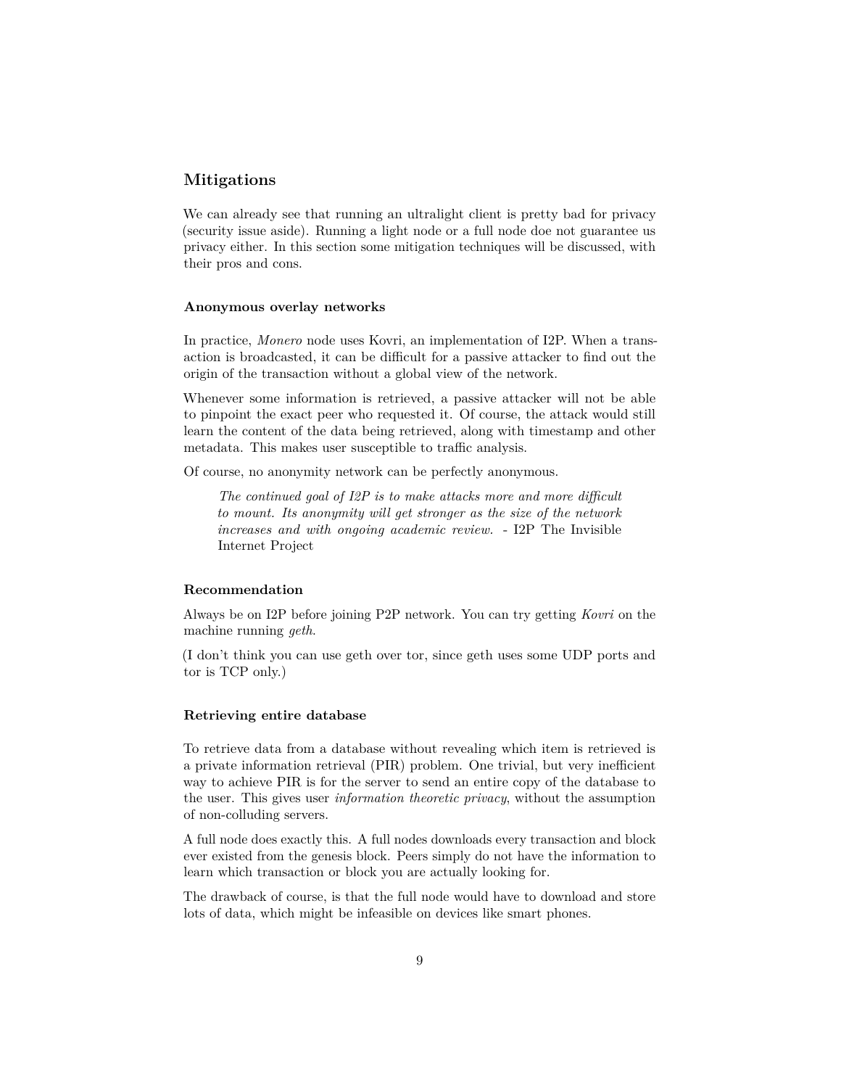## <span id="page-8-0"></span>**Mitigations**

We can already see that running an ultralight client is pretty bad for privacy (security issue aside). Running a light node or a full node doe not guarantee us privacy either. In this section some mitigation techniques will be discussed, with their pros and cons.

#### <span id="page-8-1"></span>**Anonymous overlay networks**

In practice, *Monero* node uses Kovri, an implementation of I2P. When a transaction is broadcasted, it can be difficult for a passive attacker to find out the origin of the transaction without a global view of the network.

Whenever some information is retrieved, a passive attacker will not be able to pinpoint the exact peer who requested it. Of course, the attack would still learn the content of the data being retrieved, along with timestamp and other metadata. This makes user susceptible to traffic analysis.

Of course, no anonymity network can be perfectly anonymous.

*The continued goal of I2P is to make attacks more and more difficult to mount. Its anonymity will get stronger as the size of the network increases and with ongoing academic review.* - I2P The Invisible Internet Project

#### **Recommendation**

Always be on I2P before joining P2P network. You can try getting *Kovri* on the machine running *geth*.

(I don't think you can use geth over tor, since geth uses some UDP ports and tor is TCP only.)

#### <span id="page-8-2"></span>**Retrieving entire database**

To retrieve data from a database without revealing which item is retrieved is a private information retrieval (PIR) problem. One trivial, but very inefficient way to achieve PIR is for the server to send an entire copy of the database to the user. This gives user *information theoretic privacy*, without the assumption of non-colluding servers.

A full node does exactly this. A full nodes downloads every transaction and block ever existed from the genesis block. Peers simply do not have the information to learn which transaction or block you are actually looking for.

The drawback of course, is that the full node would have to download and store lots of data, which might be infeasible on devices like smart phones.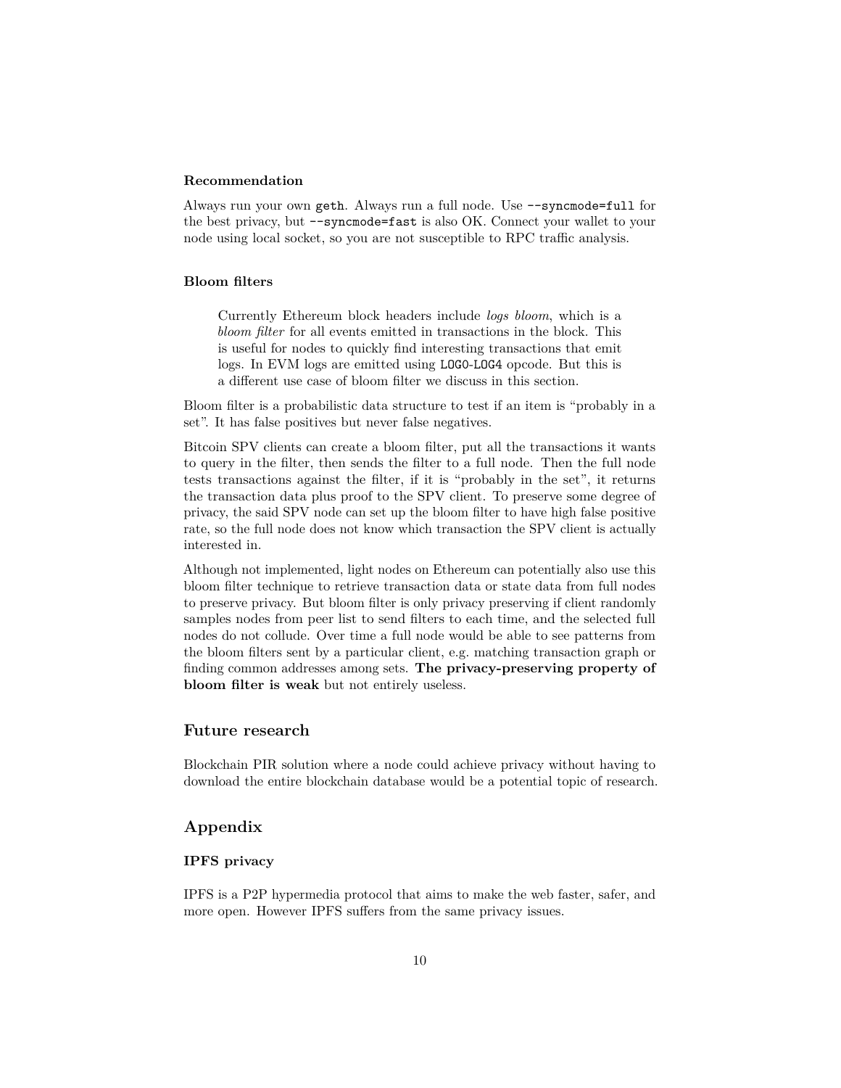#### **Recommendation**

Always run your own geth. Always run a full node. Use --syncmode=full for the best privacy, but --syncmode=fast is also OK. Connect your wallet to your node using local socket, so you are not susceptible to RPC traffic analysis.

#### <span id="page-9-0"></span>**Bloom filters**

Currently Ethereum block headers include *logs bloom*, which is a *bloom filter* for all events emitted in transactions in the block. This is useful for nodes to quickly find interesting transactions that emit logs. In EVM logs are emitted using LOG0-LOG4 opcode. But this is a different use case of bloom filter we discuss in this section.

Bloom filter is a probabilistic data structure to test if an item is "probably in a set". It has false positives but never false negatives.

Bitcoin SPV clients can create a bloom filter, put all the transactions it wants to query in the filter, then sends the filter to a full node. Then the full node tests transactions against the filter, if it is "probably in the set", it returns the transaction data plus proof to the SPV client. To preserve some degree of privacy, the said SPV node can set up the bloom filter to have high false positive rate, so the full node does not know which transaction the SPV client is actually interested in.

Although not implemented, light nodes on Ethereum can potentially also use this bloom filter technique to retrieve transaction data or state data from full nodes to preserve privacy. But bloom filter is only privacy preserving if client randomly samples nodes from peer list to send filters to each time, and the selected full nodes do not collude. Over time a full node would be able to see patterns from the bloom filters sent by a particular client, e.g. matching transaction graph or finding common addresses among sets. **The privacy-preserving property of bloom filter is weak** but not entirely useless.

#### <span id="page-9-1"></span>**Future research**

Blockchain PIR solution where a node could achieve privacy without having to download the entire blockchain database would be a potential topic of research.

## <span id="page-9-2"></span>**Appendix**

## <span id="page-9-3"></span>**IPFS privacy**

IPFS is a P2P hypermedia protocol that aims to make the web faster, safer, and more open. However IPFS suffers from the same privacy issues.